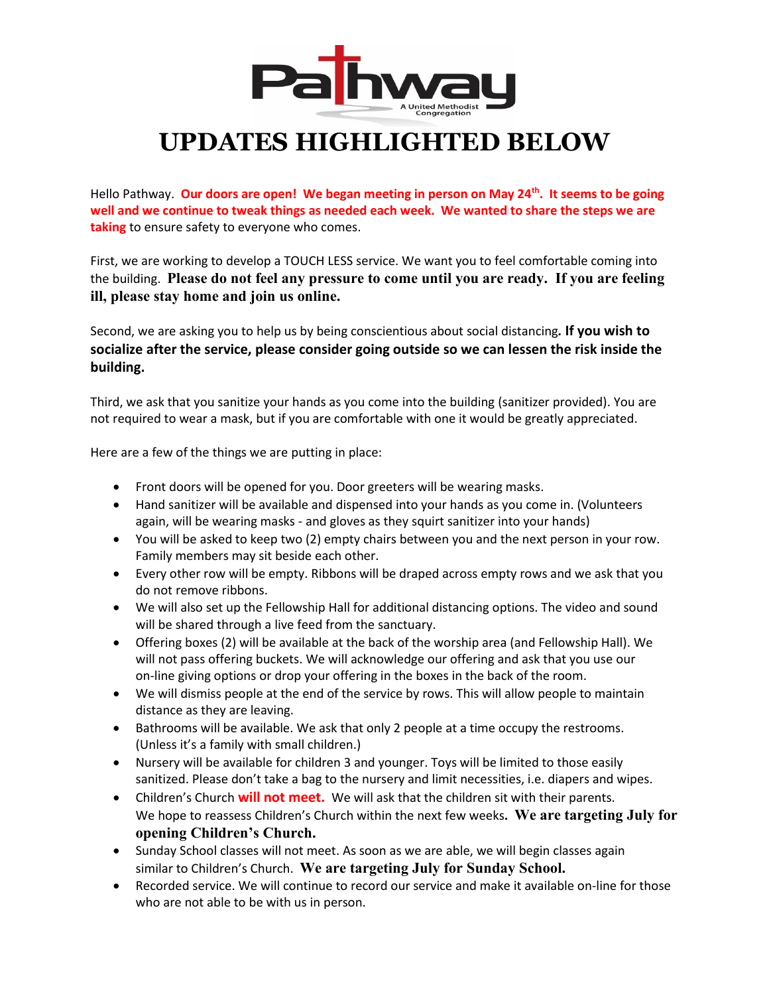

## **UPDATES HIGHLIGHTED BELOW**

Hello Pathway. **Our doors are open! We began meeting in person on May 24th . It seems to be going well and we continue to tweak things as needed each week. We wanted to share the steps we are taking** to ensure safety to everyone who comes.

First, we are working to develop a TOUCH LESS service. We want you to feel comfortable coming into the building. **Please do not feel any pressure to come until you are ready. If you are feeling ill, please stay home and join us online.**

Second, we are asking you to help us by being conscientious about social distancing*.* **If you wish to socialize after the service, please consider going outside so we can lessen the risk inside the building.** 

Third, we ask that you sanitize your hands as you come into the building (sanitizer provided). You are not required to wear a mask, but if you are comfortable with one it would be greatly appreciated.

Here are a few of the things we are putting in place:

- Front doors will be opened for you. Door greeters will be wearing masks.
- Hand sanitizer will be available and dispensed into your hands as you come in. (Volunteers again, will be wearing masks - and gloves as they squirt sanitizer into your hands)
- You will be asked to keep two (2) empty chairs between you and the next person in your row. Family members may sit beside each other.
- Every other row will be empty. Ribbons will be draped across empty rows and we ask that you do not remove ribbons.
- We will also set up the Fellowship Hall for additional distancing options. The video and sound will be shared through a live feed from the sanctuary.
- Offering boxes (2) will be available at the back of the worship area (and Fellowship Hall). We will not pass offering buckets. We will acknowledge our offering and ask that you use our on-line giving options or drop your offering in the boxes in the back of the room.
- We will dismiss people at the end of the service by rows. This will allow people to maintain distance as they are leaving.
- Bathrooms will be available. We ask that only 2 people at a time occupy the restrooms. (Unless it's a family with small children.)
- Nursery will be available for children 3 and younger. Toys will be limited to those easily sanitized. Please don't take a bag to the nursery and limit necessities, i.e. diapers and wipes.
- Children's Church **will not meet.** We will ask that the children sit with their parents. We hope to reassess Children's Church within the next few weeks**. We are targeting July for opening Children's Church.**
- Sunday School classes will not meet. As soon as we are able, we will begin classes again similar to Children's Church. **We are targeting July for Sunday School.**
- Recorded service. We will continue to record our service and make it available on-line for those who are not able to be with us in person.